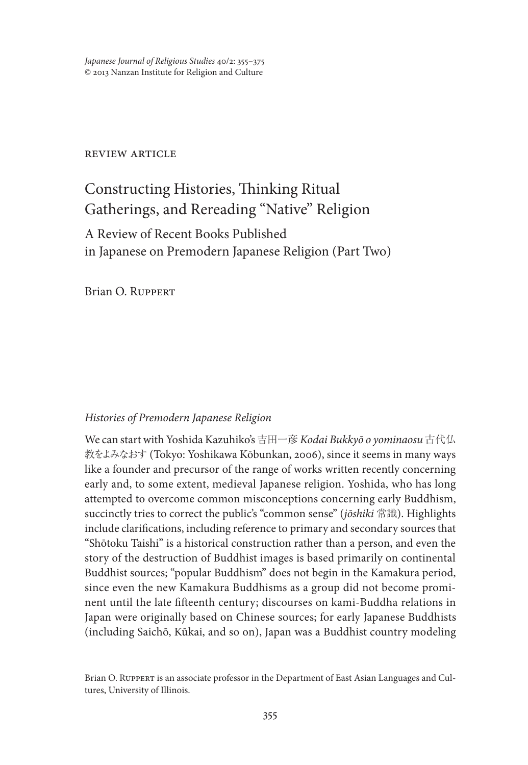## review article

# Constructing Histories, Thinking Ritual Gatherings, and Rereading "Native" Religion

## A Review of Recent Books Published in Japanese on Premodern Japanese Religion (Part Two)

Brian O. Ruppert

## *Histories of Premodern Japanese Religion*

We can start with Yoshida Kazuhiko's 吉田一彦 *Kodai Bukkyō o yominaosu* 古代仏 教をよみなおす (Tokyo: Yoshikawa Kōbunkan, 2006), since it seems in many ways like a founder and precursor of the range of works written recently concerning early and, to some extent, medieval Japanese religion. Yoshida, who has long attempted to overcome common misconceptions concerning early Buddhism, succinctly tries to correct the public's "common sense" (*jōshiki* 常識). Highlights include clarifications, including reference to primary and secondary sources that "Shōtoku Taishi" is a historical construction rather than a person, and even the story of the destruction of Buddhist images is based primarily on continental Buddhist sources; "popular Buddhism" does not begin in the Kamakura period, since even the new Kamakura Buddhisms as a group did not become prominent until the late fifteenth century; discourses on kami-Buddha relations in Japan were originally based on Chinese sources; for early Japanese Buddhists (including Saichō, Kūkai, and so on), Japan was a Buddhist country modeling

Brian O. RUPPERT is an associate professor in the Department of East Asian Languages and Cultures, University of Illinois.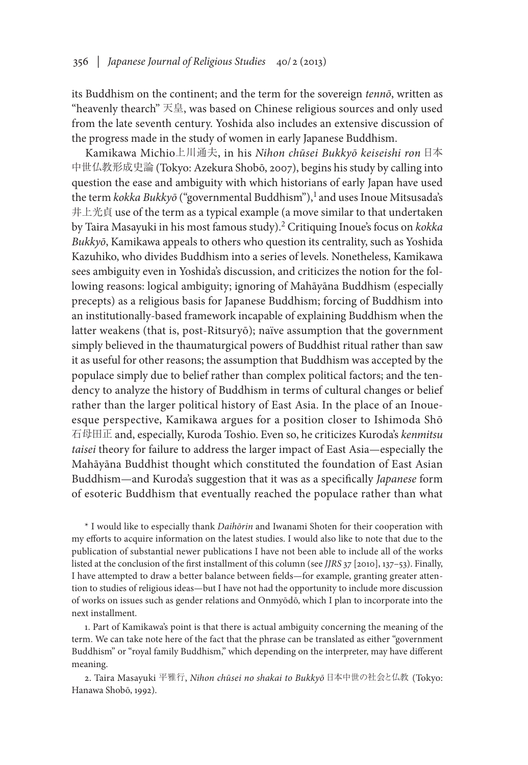its Buddhism on the continent; and the term for the sovereign *tennō*, written as "heavenly thearch" 天皇, was based on Chinese religious sources and only used from the late seventh century. Yoshida also includes an extensive discussion of the progress made in the study of women in early Japanese Buddhism.

Kamikawa Michio上川通夫, in his *Nihon chūsei Bukkyō keiseishi ron* 日本 中世仏教形成史論 (Tokyo: Azekura Shobō, 2007), begins his study by calling into question the ease and ambiguity with which historians of early Japan have used the term *kokka Bukkyō* ("governmental Buddhism"),<sup>1</sup> and uses Inoue Mitsusada's 井上光貞 use of the term as a typical example (a move similar to that undertaken by Taira Masayuki in his most famous study).2 Critiquing Inoue's focus on *kokka Bukkyō*, Kamikawa appeals to others who question its centrality, such as Yoshida Kazuhiko, who divides Buddhism into a series of levels. Nonetheless, Kamikawa sees ambiguity even in Yoshida's discussion, and criticizes the notion for the following reasons: logical ambiguity; ignoring of Mahāyāna Buddhism (especially precepts) as a religious basis for Japanese Buddhism; forcing of Buddhism into an institutionally-based framework incapable of explaining Buddhism when the latter weakens (that is, post-Ritsuryō); naïve assumption that the government simply believed in the thaumaturgical powers of Buddhist ritual rather than saw it as useful for other reasons; the assumption that Buddhism was accepted by the populace simply due to belief rather than complex political factors; and the tendency to analyze the history of Buddhism in terms of cultural changes or belief rather than the larger political history of East Asia. In the place of an Inoueesque perspective, Kamikawa argues for a position closer to Ishimoda Shō 石母田正 and, especially, Kuroda Toshio. Even so, he criticizes Kuroda's *kenmitsu taisei* theory for failure to address the larger impact of East Asia—especially the Mahāyāna Buddhist thought which constituted the foundation of East Asian Buddhism—and Kuroda's suggestion that it was as a specifically *Japanese* form of esoteric Buddhism that eventually reached the populace rather than what

\* I would like to especially thank *Daihōrin* and Iwanami Shoten for their cooperation with my efforts to acquire information on the latest studies. I would also like to note that due to the publication of substantial newer publications I have not been able to include all of the works listed at the conclusion of the first installment of this column (see *JJRS* 37 [2010], 137–53). Finally, I have attempted to draw a better balance between fields—for example, granting greater attention to studies of religious ideas—but I have not had the opportunity to include more discussion of works on issues such as gender relations and Onmyōdō, which I plan to incorporate into the next installment.

1. Part of Kamikawa's point is that there is actual ambiguity concerning the meaning of the term. We can take note here of the fact that the phrase can be translated as either "government Buddhism" or "royal family Buddhism," which depending on the interpreter, may have different meaning.

2. Taira Masayuki 平雅行, *Nihon chūsei no shakai to Bukkyō* 日本中世の社会と仏教 (Tokyo: Hanawa Shobō, 1992).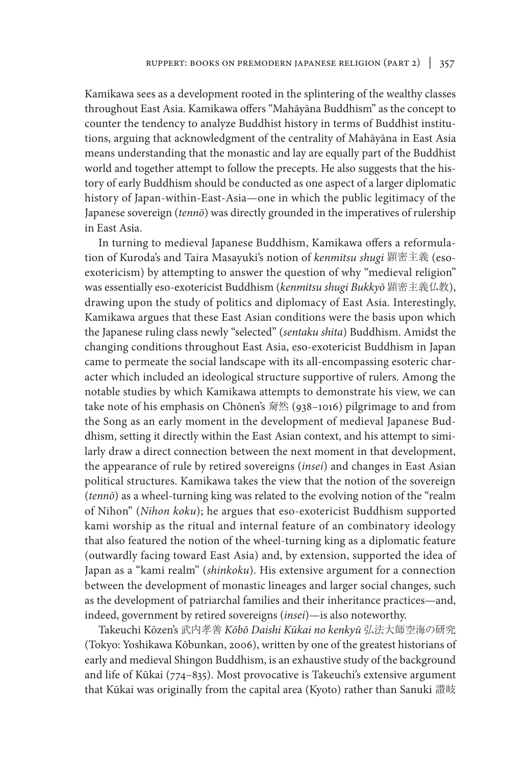Kamikawa sees as a development rooted in the splintering of the wealthy classes throughout East Asia. Kamikawa offers "Mahāyāna Buddhism" as the concept to counter the tendency to analyze Buddhist history in terms of Buddhist institutions, arguing that acknowledgment of the centrality of Mahāyāna in East Asia means understanding that the monastic and lay are equally part of the Buddhist world and together attempt to follow the precepts. He also suggests that the history of early Buddhism should be conducted as one aspect of a larger diplomatic history of Japan-within-East-Asia—one in which the public legitimacy of the Japanese sovereign (*tennō*) was directly grounded in the imperatives of rulership in East Asia.

In turning to medieval Japanese Buddhism, Kamikawa offers a reformulation of Kuroda's and Taira Masayuki's notion of *kenmitsu shugi* 顕密主義 (esoexotericism) by attempting to answer the question of why "medieval religion" was essentially eso-exotericist Buddhism (*kenmitsu shugi Bukkyō* 顕密主義仏教), drawing upon the study of politics and diplomacy of East Asia. Interestingly, Kamikawa argues that these East Asian conditions were the basis upon which the Japanese ruling class newly "selected" (*sentaku shita*) Buddhism. Amidst the changing conditions throughout East Asia, eso-exotericist Buddhism in Japan came to permeate the social landscape with its all-encompassing esoteric character which included an ideological structure supportive of rulers. Among the notable studies by which Kamikawa attempts to demonstrate his view, we can take note of his emphasis on Chōnen's 奝然 (938–1016) pilgrimage to and from the Song as an early moment in the development of medieval Japanese Buddhism, setting it directly within the East Asian context, and his attempt to similarly draw a direct connection between the next moment in that development, the appearance of rule by retired sovereigns (*insei*) and changes in East Asian political structures. Kamikawa takes the view that the notion of the sovereign (*tennō*) as a wheel-turning king was related to the evolving notion of the "realm of Nihon" (*Nihon koku*); he argues that eso-exotericist Buddhism supported kami worship as the ritual and internal feature of an combinatory ideology that also featured the notion of the wheel-turning king as a diplomatic feature (outwardly facing toward East Asia) and, by extension, supported the idea of Japan as a "kami realm" (*shinkoku*). His extensive argument for a connection between the development of monastic lineages and larger social changes, such as the development of patriarchal families and their inheritance practices—and, indeed, government by retired sovereigns (*insei*)—is also noteworthy.

Takeuchi Kōzen's 武内孝善 *Kōbō Daishi Kūkai no kenkyū* 弘法大師空海の研究 (Tokyo: Yoshikawa Kōbunkan, 2006), written by one of the greatest historians of early and medieval Shingon Buddhism, is an exhaustive study of the background and life of Kūkai (774–835). Most provocative is Takeuchi's extensive argument that Kūkai was originally from the capital area (Kyoto) rather than Sanuki 讃岐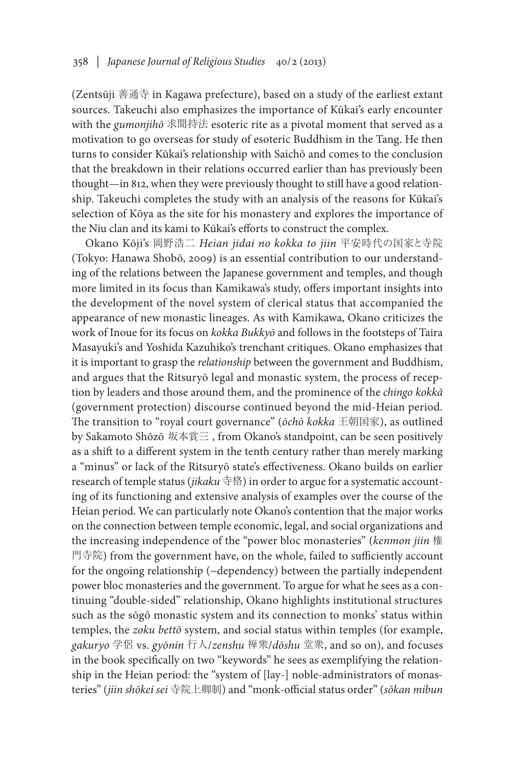(Zentsūji 善通寺 in Kagawa prefecture), based on a study of the earliest extant sources. Takeuchi also emphasizes the importance of Kūkai's early encounter with the *gumonjihō* 求聞持法 esoteric rite as a pivotal moment that served as a motivation to go overseas for study of esoteric Buddhism in the Tang. He then turns to consider Kūkai's relationship with Saichō and comes to the conclusion that the breakdown in their relations occurred earlier than has previously been thought—in 812, when they were previously thought to still have a good relationship. Takeuchi completes the study with an analysis of the reasons for Kūkai's selection of Kōya as the site for his monastery and explores the importance of the Niu clan and its kami to Kūkai's efforts to construct the complex.

Okano Kōji's 岡野浩二 *Heian jidai no kokka to jiin* 平安時代の国家と寺院 (Tokyo: Hanawa Shobō, 2009) is an essential contribution to our understanding of the relations between the Japanese government and temples, and though more limited in its focus than Kamikawa's study, offers important insights into the development of the novel system of clerical status that accompanied the appearance of new monastic lineages. As with Kamikawa, Okano criticizes the work of Inoue for its focus on *kokka Bukkyō* and follows in the footsteps of Taira Masayuki's and Yoshida Kazuhiko's trenchant critiques. Okano emphasizes that it is important to grasp the *relationship* between the government and Buddhism, and argues that the Ritsuryō legal and monastic system, the process of reception by leaders and those around them, and the prominence of the *chingo kokkā* (government protection) discourse continued beyond the mid-Heian period. The transition to "royal court governance" (*ōchō kokka* 王朝国家), as outlined by Sakamoto Shōzō 坂本賞三 , from Okano's standpoint, can be seen positively as a shift to a different system in the tenth century rather than merely marking a "minus" or lack of the Ritsuryō state's effectiveness. Okano builds on earlier research of temple status (*jikaku* 寺格) in order to argue for a systematic accounting of its functioning and extensive analysis of examples over the course of the Heian period. We can particularly note Okano's contention that the major works on the connection between temple economic, legal, and social organizations and the increasing independence of the "power bloc monasteries" (*kenmon jiin* 権 門寺院) from the government have, on the whole, failed to sufficiently account for the ongoing relationship (~dependency) between the partially independent power bloc monasteries and the government. To argue for what he sees as a continuing "double-sided" relationship, Okano highlights institutional structures such as the sōgō monastic system and its connection to monks' status within temples, the *zoku bettō* system, and social status within temples (for example, *gakuryo* 学侶 vs. *gyōnin* 行人/*zenshu* 禅衆/*dōshu* 堂衆, and so on), and focuses in the book specifically on two "keywords" he sees as exemplifying the relationship in the Heian period: the "system of [lay-] noble-administrators of monasteries" (*jiin shōkei sei* 寺院上卿制) and "monk-official status order" (*sōkan mibun*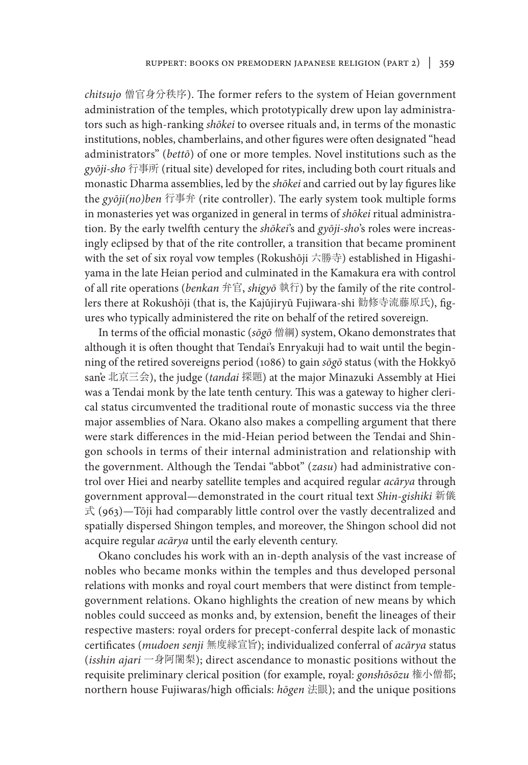*chitsujo* 僧官身分秩序). The former refers to the system of Heian government administration of the temples, which prototypically drew upon lay administrators such as high-ranking *shōkei* to oversee rituals and, in terms of the monastic institutions, nobles, chamberlains, and other figures were often designated "head administrators" (*bettō*) of one or more temples. Novel institutions such as the *gyōji-sho* 行事所 (ritual site) developed for rites, including both court rituals and monastic Dharma assemblies, led by the *shōkei* and carried out by lay figures like the *gyōji(no)ben* 行事弁 (rite controller). The early system took multiple forms in monasteries yet was organized in general in terms of *shōkei* ritual administration. By the early twelfth century the *shōkei*'s and *gyōji-sho*'s roles were increasingly eclipsed by that of the rite controller, a transition that became prominent with the set of six royal vow temples (Rokushōji 六勝寺) established in Higashiyama in the late Heian period and culminated in the Kamakura era with control of all rite operations (*benkan* 弁官, *shigyō* 執行) by the family of the rite controllers there at Rokushōji (that is, the Kajūjiryū Fujiwara-shi 勧修寺流藤原氏), figures who typically administered the rite on behalf of the retired sovereign.

In terms of the official monastic (*sōgō* 僧綱) system, Okano demonstrates that although it is often thought that Tendai's Enryakuji had to wait until the beginning of the retired sovereigns period (1086) to gain *sōgō* status (with the Hokkyō san'e 北京三会), the judge (*tandai* 探題) at the major Minazuki Assembly at Hiei was a Tendai monk by the late tenth century. This was a gateway to higher clerical status circumvented the traditional route of monastic success via the three major assemblies of Nara. Okano also makes a compelling argument that there were stark differences in the mid-Heian period between the Tendai and Shingon schools in terms of their internal administration and relationship with the government. Although the Tendai "abbot" (*zasu*) had administrative control over Hiei and nearby satellite temples and acquired regular *acārya* through government approval—demonstrated in the court ritual text *Shin-gishiki* 新儀  $\ddot{\uparrow}$  (963)—Tōji had comparably little control over the vastly decentralized and spatially dispersed Shingon temples, and moreover, the Shingon school did not acquire regular *acārya* until the early eleventh century.

Okano concludes his work with an in-depth analysis of the vast increase of nobles who became monks within the temples and thus developed personal relations with monks and royal court members that were distinct from templegovernment relations. Okano highlights the creation of new means by which nobles could succeed as monks and, by extension, benefit the lineages of their respective masters: royal orders for precept-conferral despite lack of monastic certificates (*mudoen senji* 無度縁宣旨); individualized conferral of *acārya* status (*isshin ajari* 一身阿闍梨); direct ascendance to monastic positions without the requisite preliminary clerical position (for example, royal: *gonshōsōzu* 権小僧都; northern house Fujiwaras/high officials: *hōgen* 法眼); and the unique positions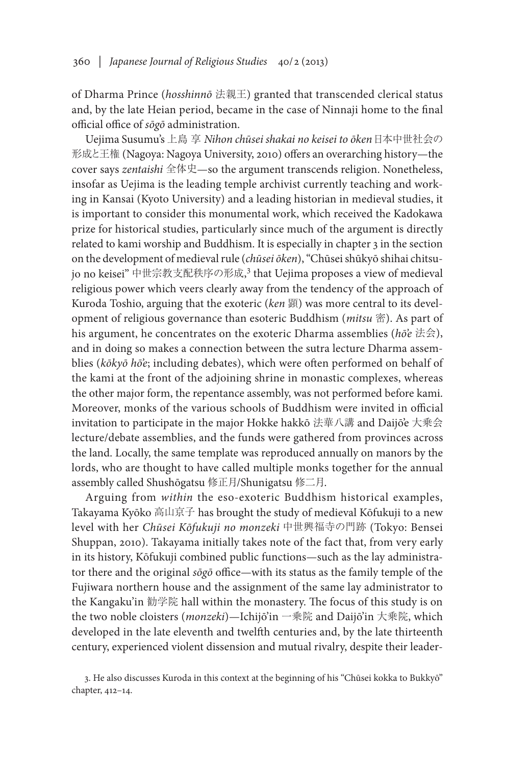of Dharma Prince (*hosshinnō* 法親王) granted that transcended clerical status and, by the late Heian period, became in the case of Ninnaji home to the final official office of *sōgō* administration.

Uejima Susumu's 上島 享 *Nihon chūsei shakai no keisei to ōken*日本中世社会の 形成と王権 (Nagoya: Nagoya University, 2010) offers an overarching history—the cover says *zentaishi* 全体史—so the argument transcends religion. Nonetheless, insofar as Uejima is the leading temple archivist currently teaching and working in Kansai (Kyoto University) and a leading historian in medieval studies, it is important to consider this monumental work, which received the Kadokawa prize for historical studies, particularly since much of the argument is directly related to kami worship and Buddhism. It is especially in chapter 3 in the section on the development of medieval rule (*chūsei ōken*), "Chūsei shūkyō shihai chitsujo no keisei" 中世宗教支配秩序の形成, 3 that Uejima proposes a view of medieval religious power which veers clearly away from the tendency of the approach of Kuroda Toshio, arguing that the exoteric (*ken* 顕) was more central to its development of religious governance than esoteric Buddhism (*mitsu* 密). As part of his argument, he concentrates on the exoteric Dharma assemblies (*hō'e* 法会), and in doing so makes a connection between the sutra lecture Dharma assemblies (*kōkyō hō'e*; including debates), which were often performed on behalf of the kami at the front of the adjoining shrine in monastic complexes, whereas the other major form, the repentance assembly, was not performed before kami. Moreover, monks of the various schools of Buddhism were invited in official invitation to participate in the major Hokke hakkō 法華八講 and Daijō'e 大乗会 lecture/debate assemblies, and the funds were gathered from provinces across the land. Locally, the same template was reproduced annually on manors by the lords, who are thought to have called multiple monks together for the annual assembly called Shushōgatsu 修正月/Shunigatsu 修二月.

Arguing from *within* the eso-exoteric Buddhism historical examples, Takayama Kyōko 高山京子 has brought the study of medieval Kōfukuji to a new level with her *Chūsei Kōfukuji no monzeki* 中世興福寺の門跡 (Tokyo: Bensei Shuppan, 2010). Takayama initially takes note of the fact that, from very early in its history, Kōfukuji combined public functions—such as the lay administrator there and the original *sōgō* office—with its status as the family temple of the Fujiwara northern house and the assignment of the same lay administrator to the Kangaku'in 勧学院 hall within the monastery. The focus of this study is on the two noble cloisters (*monzeki*)—Ichijō'in 一乗院 and Daijō'in 大乗院, which developed in the late eleventh and twelfth centuries and, by the late thirteenth century, experienced violent dissension and mutual rivalry, despite their leader-

<sup>3.</sup> He also discusses Kuroda in this context at the beginning of his "Chūsei kokka to Bukkyō" chapter, 412–14.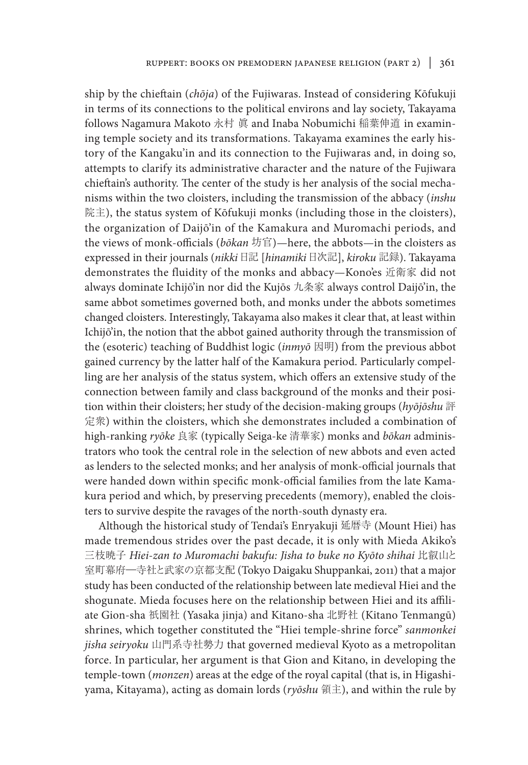ship by the chieftain (*chōja*) of the Fujiwaras. Instead of considering Kōfukuji in terms of its connections to the political environs and lay society, Takayama follows Nagamura Makoto 永村 眞 and Inaba Nobumichi 稲葉伸道 in examining temple society and its transformations. Takayama examines the early history of the Kangaku'in and its connection to the Fujiwaras and, in doing so, attempts to clarify its administrative character and the nature of the Fujiwara chieftain's authority. The center of the study is her analysis of the social mechanisms within the two cloisters, including the transmission of the abbacy (*inshu*  院主), the status system of Kōfukuji monks (including those in the cloisters), the organization of Daijō'in of the Kamakura and Muromachi periods, and the views of monk-officials (*bōkan* 坊官)—here, the abbots—in the cloisters as expressed in their journals (*nikki* 日記 [*hinamiki* 日次記], *kiroku* 記録). Takayama demonstrates the fluidity of the monks and abbacy—Kono'es 近衛家 did not always dominate Ichijō'in nor did the Kujōs 九条家 always control Daijō'in, the same abbot sometimes governed both, and monks under the abbots sometimes changed cloisters. Interestingly, Takayama also makes it clear that, at least within Ichijō'in, the notion that the abbot gained authority through the transmission of the (esoteric) teaching of Buddhist logic (*inmyō* 因明) from the previous abbot gained currency by the latter half of the Kamakura period. Particularly compelling are her analysis of the status system, which offers an extensive study of the connection between family and class background of the monks and their position within their cloisters; her study of the decision-making groups (*hyōjōshu* 評 定衆) within the cloisters, which she demonstrates included a combination of high-ranking *ryōke* 良家 (typically Seiga-ke 清華家) monks and *bōkan* administrators who took the central role in the selection of new abbots and even acted as lenders to the selected monks; and her analysis of monk-official journals that were handed down within specific monk-official families from the late Kamakura period and which, by preserving precedents (memory), enabled the cloisters to survive despite the ravages of the north-south dynasty era.

Although the historical study of Tendai's Enryakuji 延暦寺 (Mount Hiei) has made tremendous strides over the past decade, it is only with Mieda Akiko's 三枝暁子 *Hiei-zan to Muromachi bakufu: Jisha to buke no Kyōto shihai* 比叡山と 室町幕府―寺社と武家の京都支配 (Tokyo Daigaku Shuppankai, 2011) that a major study has been conducted of the relationship between late medieval Hiei and the shogunate. Mieda focuses here on the relationship between Hiei and its affiliate Gion-sha 祇園社 (Yasaka jinja) and Kitano-sha 北野社 (Kitano Tenmangū) shrines, which together constituted the "Hiei temple-shrine force" *sanmonkei jisha seiryoku* 山門系寺社勢力 that governed medieval Kyoto as a metropolitan force. In particular, her argument is that Gion and Kitano, in developing the temple-town (*monzen*) areas at the edge of the royal capital (that is, in Higashiyama, Kitayama), acting as domain lords (*ryōshu* 領主), and within the rule by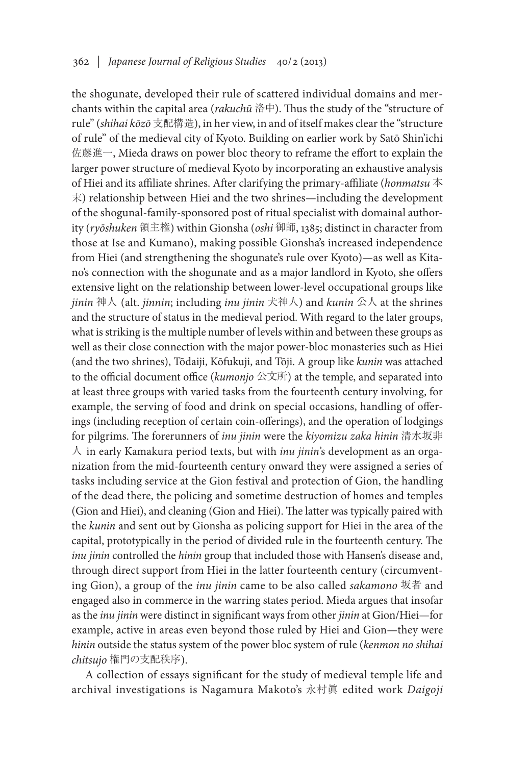the shogunate, developed their rule of scattered individual domains and merchants within the capital area (*rakuchū* 洛中). Thus the study of the "structure of rule" (*shihai kōzō* 支配構造), in her view, in and of itself makes clear the "structure of rule" of the medieval city of Kyoto. Building on earlier work by Satō Shin'ichi 佐藤進一, Mieda draws on power bloc theory to reframe the effort to explain the larger power structure of medieval Kyoto by incorporating an exhaustive analysis of Hiei and its affiliate shrines. After clarifying the primary-affiliate (*honmatsu* 本 末) relationship between Hiei and the two shrines—including the development of the shogunal-family-sponsored post of ritual specialist with domainal authority (*ryōshuken* 領主権) within Gionsha (*oshi* 御師, 1385; distinct in character from those at Ise and Kumano), making possible Gionsha's increased independence from Hiei (and strengthening the shogunate's rule over Kyoto)—as well as Kitano's connection with the shogunate and as a major landlord in Kyoto, she offers extensive light on the relationship between lower-level occupational groups like *jinin* 神人 (alt. *jinnin*; including *inu jinin* 犬神人) and *kunin* 公人 at the shrines and the structure of status in the medieval period. With regard to the later groups, what is striking is the multiple number of levels within and between these groups as well as their close connection with the major power-bloc monasteries such as Hiei (and the two shrines), Tōdaiji, Kōfukuji, and Tōji. A group like *kunin* was attached to the official document office (*kumonjo* 公文所) at the temple, and separated into at least three groups with varied tasks from the fourteenth century involving, for example, the serving of food and drink on special occasions, handling of offerings (including reception of certain coin-offerings), and the operation of lodgings for pilgrims. The forerunners of *inu jinin* were the *kiyomizu zaka hinin* 清水坂非 人 in early Kamakura period texts, but with *inu jinin*'s development as an organization from the mid-fourteenth century onward they were assigned a series of tasks including service at the Gion festival and protection of Gion, the handling of the dead there, the policing and sometime destruction of homes and temples (Gion and Hiei), and cleaning (Gion and Hiei). The latter was typically paired with the *kunin* and sent out by Gionsha as policing support for Hiei in the area of the capital, prototypically in the period of divided rule in the fourteenth century. The *inu jinin* controlled the *hinin* group that included those with Hansen's disease and, through direct support from Hiei in the latter fourteenth century (circumventing Gion), a group of the *inu jinin* came to be also called *sakamono* 坂者 and engaged also in commerce in the warring states period. Mieda argues that insofar as the *inu jinin* were distinct in significant ways from other *jinin* at Gion/Hiei—for example, active in areas even beyond those ruled by Hiei and Gion—they were *hinin* outside the status system of the power bloc system of rule (*kenmon no shihai chitsujo* 権門の支配秩序).

A collection of essays significant for the study of medieval temple life and archival investigations is Nagamura Makoto's 永村眞 edited work *Daigoji*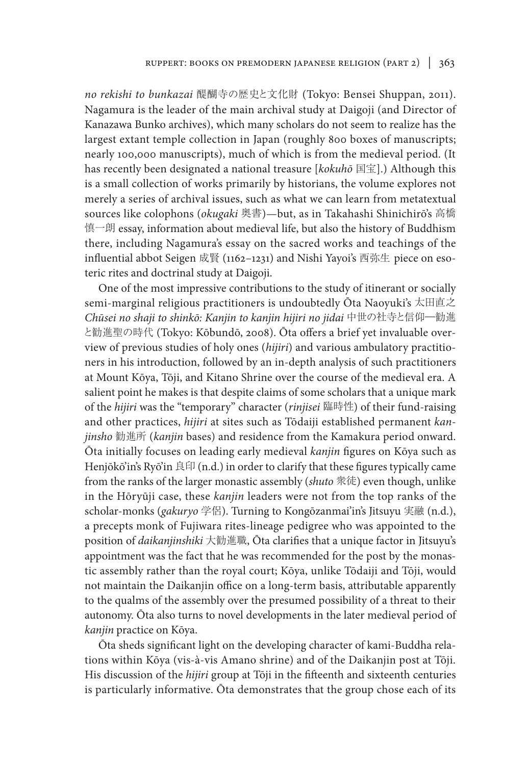*no rekishi to bunkazai* 醍醐寺の歴史と文化財 (Tokyo: Bensei Shuppan, 2011). Nagamura is the leader of the main archival study at Daigoji (and Director of Kanazawa Bunko archives), which many scholars do not seem to realize has the largest extant temple collection in Japan (roughly 800 boxes of manuscripts; nearly 100,000 manuscripts), much of which is from the medieval period. (It has recently been designated a national treasure [*kokuhō* 国宝].) Although this is a small collection of works primarily by historians, the volume explores not merely a series of archival issues, such as what we can learn from metatextual sources like colophons (*okugaki* 奥書)—but, as in Takahashi Shinichirō's 高橋 慎一朗 essay, information about medieval life, but also the history of Buddhism there, including Nagamura's essay on the sacred works and teachings of the influential abbot Seigen 成賢 (1162–1231) and Nishi Yayoi's 西弥生 piece on esoteric rites and doctrinal study at Daigoji.

One of the most impressive contributions to the study of itinerant or socially semi-marginal religious practitioners is undoubtedly Ōta Naoyuki's 太田直之 *Chūsei no shaji to shinkō: Kanjin to kanjin hijiri no jidai* 中世の社寺と信仰―勧進 と勧進聖の時代 (Tokyo: Kōbundō, 2008). Ōta offers a brief yet invaluable overview of previous studies of holy ones (*hijiri*) and various ambulatory practitioners in his introduction, followed by an in-depth analysis of such practitioners at Mount Kōya, Tōji, and Kitano Shrine over the course of the medieval era. A salient point he makes is that despite claims of some scholars that a unique mark of the *hijiri* was the "temporary" character (*rinjisei* 臨時性) of their fund-raising and other practices, *hijiri* at sites such as Tōdaiji established permanent *kanjinsho* 勧進所 (*kanjin* bases) and residence from the Kamakura period onward. Ōta initially focuses on leading early medieval *kanjin* figures on Kōya such as Henjōkō'in's Ryō'in 良印 (n.d.) in order to clarify that these figures typically came from the ranks of the larger monastic assembly (*shuto* 衆徒) even though, unlike in the Hōryūji case, these *kanjin* leaders were not from the top ranks of the scholar-monks (*gakuryo* 学侶). Turning to Kongōzanmai'in's Jitsuyu 実融 (n.d.), a precepts monk of Fujiwara rites-lineage pedigree who was appointed to the position of *daikanjinshiki* 大勧進職, Ōta clarifies that a unique factor in Jitsuyu's appointment was the fact that he was recommended for the post by the monastic assembly rather than the royal court; Kōya, unlike Tōdaiji and Tōji, would not maintain the Daikanjin office on a long-term basis, attributable apparently to the qualms of the assembly over the presumed possibility of a threat to their autonomy. Ōta also turns to novel developments in the later medieval period of *kanjin* practice on Kōya.

Ōta sheds significant light on the developing character of kami-Buddha relations within Kōya (vis-à-vis Amano shrine) and of the Daikanjin post at Tōji. His discussion of the *hijiri* group at Tōji in the fifteenth and sixteenth centuries is particularly informative. Ōta demonstrates that the group chose each of its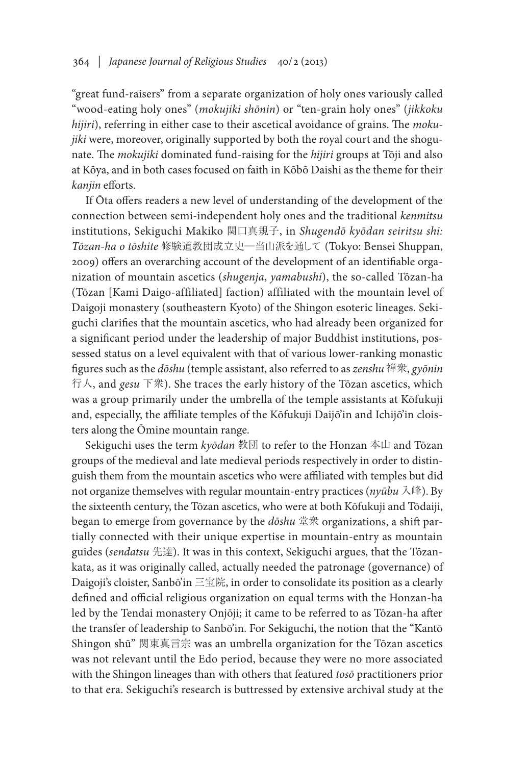"great fund-raisers" from a separate organization of holy ones variously called "wood-eating holy ones" (*mokujiki shōnin*) or "ten-grain holy ones" (*jikkoku hijiri*), referring in either case to their ascetical avoidance of grains. The *mokujiki* were, moreover, originally supported by both the royal court and the shogunate. The *mokujiki* dominated fund-raising for the *hijiri* groups at Tōji and also at Kōya, and in both cases focused on faith in Kōbō Daishi as the theme for their *kanjin* efforts.

If Ōta offers readers a new level of understanding of the development of the connection between semi-independent holy ones and the traditional *kenmitsu* institutions, Sekiguchi Makiko 関口真規子, in *Shugendō kyōdan seiritsu shi: Tōzan-ha o tōshite* 修験道教団成立史―当山派を通して (Tokyo: Bensei Shuppan, 2009) offers an overarching account of the development of an identifiable organization of mountain ascetics (*shugenja*, *yamabushi*), the so-called Tōzan-ha (Tōzan [Kami Daigo-affiliated] faction) affiliated with the mountain level of Daigoji monastery (southeastern Kyoto) of the Shingon esoteric lineages. Sekiguchi clarifies that the mountain ascetics, who had already been organized for a significant period under the leadership of major Buddhist institutions, possessed status on a level equivalent with that of various lower-ranking monastic figures such as the *dōshu* (temple assistant, also referred to as *zenshu* 禅衆, *gyōnin* 行人, and *gesu* 下衆). She traces the early history of the Tōzan ascetics, which was a group primarily under the umbrella of the temple assistants at Kōfukuji and, especially, the affiliate temples of the Kōfukuji Daijō'in and Ichijō'in cloisters along the Ōmine mountain range.

Sekiguchi uses the term *kyōdan* 教団 to refer to the Honzan 本山 and Tōzan groups of the medieval and late medieval periods respectively in order to distinguish them from the mountain ascetics who were affiliated with temples but did not organize themselves with regular mountain-entry practices (*nyūbu* 入峰). By the sixteenth century, the Tōzan ascetics, who were at both Kōfukuji and Tōdaiji, began to emerge from governance by the *dōshu* 堂衆 organizations, a shift partially connected with their unique expertise in mountain-entry as mountain guides (*sendatsu* 先達). It was in this context, Sekiguchi argues, that the Tōzankata, as it was originally called, actually needed the patronage (governance) of Daigoji's cloister, Sanbō'in 三宝院, in order to consolidate its position as a clearly defined and official religious organization on equal terms with the Honzan-ha led by the Tendai monastery Onjōji; it came to be referred to as Tōzan-ha after the transfer of leadership to Sanbō'in. For Sekiguchi, the notion that the "Kantō Shingon shū" 関東真言宗 was an umbrella organization for the Tōzan ascetics was not relevant until the Edo period, because they were no more associated with the Shingon lineages than with others that featured *tosō* practitioners prior to that era. Sekiguchi's research is buttressed by extensive archival study at the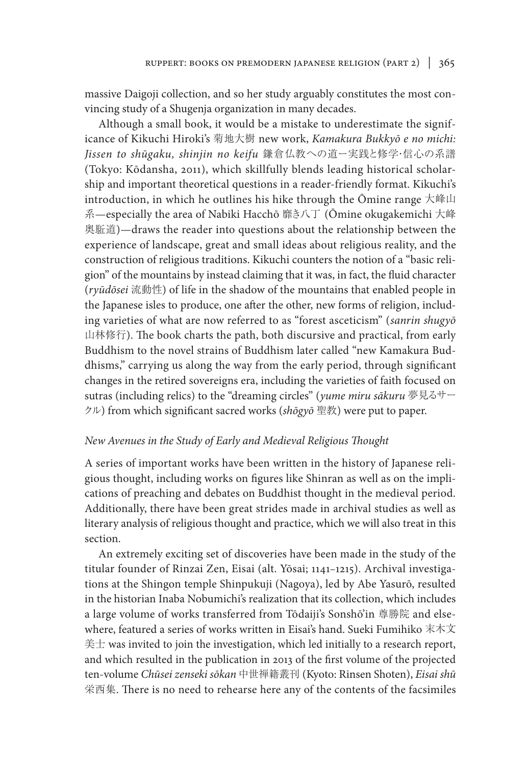massive Daigoji collection, and so her study arguably constitutes the most convincing study of a Shugenja organization in many decades.

Although a small book, it would be a mistake to underestimate the significance of Kikuchi Hiroki's 菊地大樹 new work, *Kamakura Bukkyō e no michi: Jissen to shūgaku, shinjin no keifu* 鎌倉仏教への道ー実践と修学・信心の系譜 (Tokyo: Kōdansha, 2011), which skillfully blends leading historical scholarship and important theoretical questions in a reader-friendly format. Kikuchi's introduction, in which he outlines his hike through the Ōmine range 大峰山 系—especially the area of Nabiki Hacchō 靡き八丁 (Ōmine okugakemichi 大峰 奥駈道)—draws the reader into questions about the relationship between the experience of landscape, great and small ideas about religious reality, and the construction of religious traditions. Kikuchi counters the notion of a "basic religion" of the mountains by instead claiming that it was, in fact, the fluid character (*ryūdōsei* 流動性) of life in the shadow of the mountains that enabled people in the Japanese isles to produce, one after the other, new forms of religion, including varieties of what are now referred to as "forest asceticism" (*sanrin shugyō*  山林修行). The book charts the path, both discursive and practical, from early Buddhism to the novel strains of Buddhism later called "new Kamakura Buddhisms," carrying us along the way from the early period, through significant changes in the retired sovereigns era, including the varieties of faith focused on sutras (including relics) to the "dreaming circles" (*yume miru sākuru* 夢見るサー クル) from which significant sacred works (*shōgyō* 聖教) were put to paper.

### *New Avenues in the Study of Early and Medieval Religious Thought*

A series of important works have been written in the history of Japanese religious thought, including works on figures like Shinran as well as on the implications of preaching and debates on Buddhist thought in the medieval period. Additionally, there have been great strides made in archival studies as well as literary analysis of religious thought and practice, which we will also treat in this section.

An extremely exciting set of discoveries have been made in the study of the titular founder of Rinzai Zen, Eisai (alt. Yōsai; 1141–1215). Archival investigations at the Shingon temple Shinpukuji (Nagoya), led by Abe Yasurō, resulted in the historian Inaba Nobumichi's realization that its collection, which includes a large volume of works transferred from Tōdaiji's Sonshō'in 尊勝院 and elsewhere, featured a series of works written in Eisai's hand. Sueki Fumihiko 末木文 美士 was invited to join the investigation, which led initially to a research report, and which resulted in the publication in 2013 of the first volume of the projected ten-volume *Chūsei zenseki sōkan* 中世禅籍叢刊 (Kyoto: Rinsen Shoten), *Eisai shū*  栄西集. There is no need to rehearse here any of the contents of the facsimiles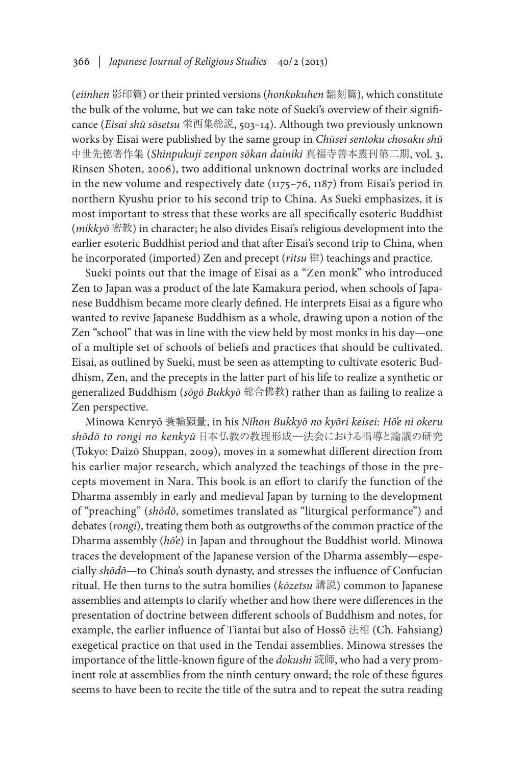(*eiinhen* 影印篇) or their printed versions (*honkokuhen* 翻刻篇), which constitute the bulk of the volume, but we can take note of Sueki's overview of their significance (*Eisai shū sōsetsu* 栄西集総説, 503–14). Although two previously unknown works by Eisai were published by the same group in *Chūsei sentoku chosaku shū* 中世先徳著作集 (*Shinpukuji zenpon sōkan dainiki* 真福寺善本叢刊第二期, vol. 3, Rinsen Shoten, 2006), two additional unknown doctrinal works are included in the new volume and respectively date (1175–76, 1187) from Eisai's period in northern Kyushu prior to his second trip to China. As Sueki emphasizes, it is most important to stress that these works are all specifically esoteric Buddhist (*mikkyō* 密教) in character; he also divides Eisai's religious development into the earlier esoteric Buddhist period and that after Eisai's second trip to China, when he incorporated (imported) Zen and precept (*ritsu* 律) teachings and practice.

Sueki points out that the image of Eisai as a "Zen monk" who introduced Zen to Japan was a product of the late Kamakura period, when schools of Japanese Buddhism became more clearly defined. He interprets Eisai as a figure who wanted to revive Japanese Buddhism as a whole, drawing upon a notion of the Zen "school" that was in line with the view held by most monks in his day—one of a multiple set of schools of beliefs and practices that should be cultivated. Eisai, as outlined by Sueki, must be seen as attempting to cultivate esoteric Buddhism, Zen, and the precepts in the latter part of his life to realize a synthetic or generalized Buddhism (*sōgō Bukkyō* 総合佛教) rather than as failing to realize a Zen perspective.

Minowa Kenryō 蓑輪顕量, in his *Nihon Bukkyō no kyōri keisei: Hō'e ni okeru shōdō to rongi no kenkyū* 日本仏教の教理形成―法会における唱導と論議の研究 (Tokyo: Daizō Shuppan, 2009), moves in a somewhat different direction from his earlier major research, which analyzed the teachings of those in the precepts movement in Nara. This book is an effort to clarify the function of the Dharma assembly in early and medieval Japan by turning to the development of "preaching" (*shōdō*, sometimes translated as "liturgical performance") and debates (*rongi*), treating them both as outgrowths of the common practice of the Dharma assembly (*hō'e*) in Japan and throughout the Buddhist world. Minowa traces the development of the Japanese version of the Dharma assembly—especially *shōdō*—to China's south dynasty, and stresses the influence of Confucian ritual. He then turns to the sutra homilies (*kōzetsu* 講説) common to Japanese assemblies and attempts to clarify whether and how there were differences in the presentation of doctrine between different schools of Buddhism and notes, for example, the earlier influence of Tiantai but also of Hossō 法相 (Ch. Fahsiang) exegetical practice on that used in the Tendai assemblies. Minowa stresses the importance of the little-known figure of the *dokushi* 読師, who had a very prominent role at assemblies from the ninth century onward; the role of these figures seems to have been to recite the title of the sutra and to repeat the sutra reading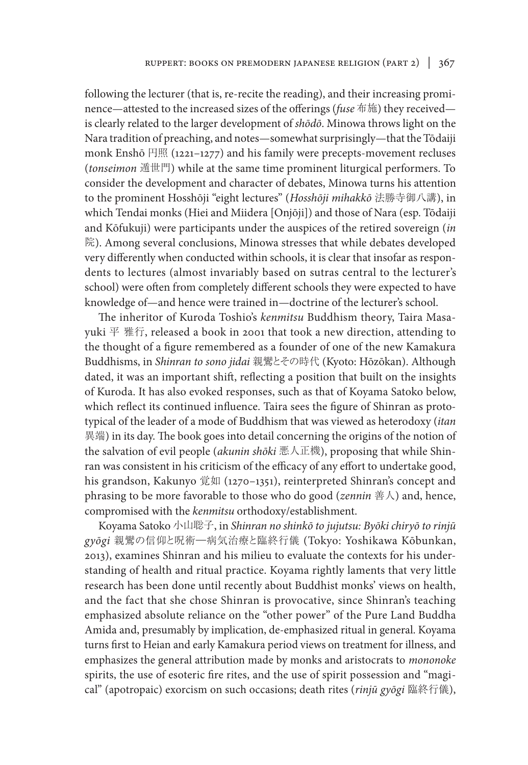following the lecturer (that is, re-recite the reading), and their increasing prominence—attested to the increased sizes of the offerings (*fuse* 布施) they received is clearly related to the larger development of *shōdō*. Minowa throws light on the Nara tradition of preaching, and notes—somewhat surprisingly—that the Tōdaiji monk Enshō 円照 (1221–1277) and his family were precepts-movement recluses (*tonseimon* 遁世門) while at the same time prominent liturgical performers. To consider the development and character of debates, Minowa turns his attention to the prominent Hosshōji "eight lectures" (*Hosshōji mihakkō* 法勝寺御八講), in which Tendai monks (Hiei and Miidera [Onjōji]) and those of Nara (esp. Tōdaiji and Kōfukuji) were participants under the auspices of the retired sovereign (*in*  院). Among several conclusions, Minowa stresses that while debates developed very differently when conducted within schools, it is clear that insofar as respondents to lectures (almost invariably based on sutras central to the lecturer's school) were often from completely different schools they were expected to have knowledge of—and hence were trained in—doctrine of the lecturer's school.

The inheritor of Kuroda Toshio's *kenmitsu* Buddhism theory, Taira Masayuki 平 雅行, released a book in 2001 that took a new direction, attending to the thought of a figure remembered as a founder of one of the new Kamakura Buddhisms, in *Shinran to sono jidai* 親鸞とその時代 (Kyoto: Hōzōkan). Although dated, it was an important shift, reflecting a position that built on the insights of Kuroda. It has also evoked responses, such as that of Koyama Satoko below, which reflect its continued influence. Taira sees the figure of Shinran as prototypical of the leader of a mode of Buddhism that was viewed as heterodoxy (*itan*  異端) in its day. The book goes into detail concerning the origins of the notion of the salvation of evil people (*akunin shōki* 悪人正機), proposing that while Shinran was consistent in his criticism of the efficacy of any effort to undertake good, his grandson, Kakunyo 覚如 (1270–1351), reinterpreted Shinran's concept and phrasing to be more favorable to those who do good (*zennin* 善人) and, hence, compromised with the *kenmitsu* orthodoxy/establishment.

Koyama Satoko 小山聡子, in *Shinran no shinkō to jujutsu: Byōki chiryō to rinjū gyōgi* 親鸞の信仰と呪術―病気治療と臨終行儀 (Tokyo: Yoshikawa Kōbunkan, 2013), examines Shinran and his milieu to evaluate the contexts for his understanding of health and ritual practice. Koyama rightly laments that very little research has been done until recently about Buddhist monks' views on health, and the fact that she chose Shinran is provocative, since Shinran's teaching emphasized absolute reliance on the "other power" of the Pure Land Buddha Amida and, presumably by implication, de-emphasized ritual in general. Koyama turns first to Heian and early Kamakura period views on treatment for illness, and emphasizes the general attribution made by monks and aristocrats to *mononoke* spirits, the use of esoteric fire rites, and the use of spirit possession and "magical" (apotropaic) exorcism on such occasions; death rites (*rinjū gyōgi* 臨終行儀),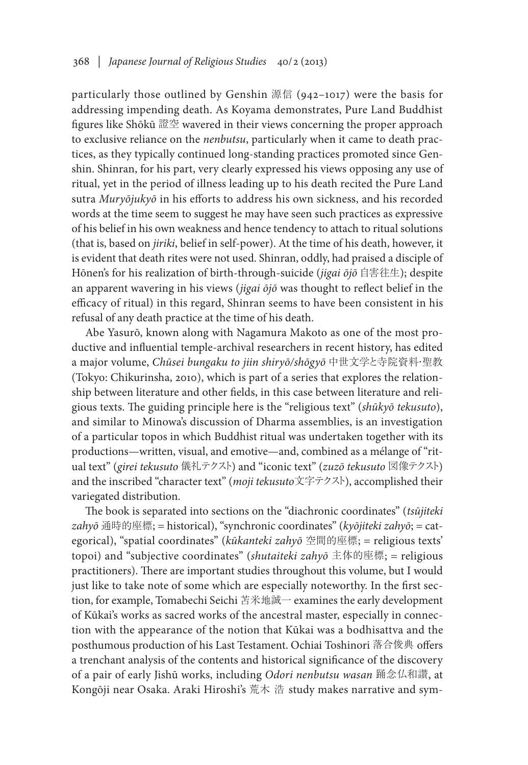particularly those outlined by Genshin 源信 (942–1017) were the basis for addressing impending death. As Koyama demonstrates, Pure Land Buddhist figures like Shōkū 證空 wavered in their views concerning the proper approach to exclusive reliance on the *nenbutsu*, particularly when it came to death practices, as they typically continued long-standing practices promoted since Genshin. Shinran, for his part, very clearly expressed his views opposing any use of ritual, yet in the period of illness leading up to his death recited the Pure Land sutra *Muryōjukyō* in his efforts to address his own sickness, and his recorded words at the time seem to suggest he may have seen such practices as expressive of his belief in his own weakness and hence tendency to attach to ritual solutions (that is, based on *jiriki*, belief in self-power). At the time of his death, however, it is evident that death rites were not used. Shinran, oddly, had praised a disciple of Hōnen's for his realization of birth-through-suicide (*jigai ōjō* 自害往生); despite an apparent wavering in his views (*jigai ōjō* was thought to reflect belief in the efficacy of ritual) in this regard, Shinran seems to have been consistent in his refusal of any death practice at the time of his death.

Abe Yasurō, known along with Nagamura Makoto as one of the most productive and influential temple-archival researchers in recent history, has edited a major volume, *Chūsei bungaku to jiin shiryō/shōgyō* 中世文学と寺院資料・聖教 (Tokyo: Chikurinsha, 2010), which is part of a series that explores the relationship between literature and other fields, in this case between literature and religious texts. The guiding principle here is the "religious text" (*shūkyō tekusuto*), and similar to Minowa's discussion of Dharma assemblies, is an investigation of a particular topos in which Buddhist ritual was undertaken together with its productions—written, visual, and emotive—and, combined as a mélange of "ritual text" (*girei tekusuto* 儀礼テクスト) and "iconic text" (*zuzō tekusuto* 図像テクスト) and the inscribed "character text" (*moji tekusuto*文字テクスト), accomplished their variegated distribution.

The book is separated into sections on the "diachronic coordinates" (*tsūjiteki zahyō* 通時的座標; = historical), "synchronic coordinates" (*kyōjiteki zahyō*; = categorical), "spatial coordinates" (*kūkanteki zahyō* 空間的座標; = religious texts' topoi) and "subjective coordinates" (*shutaiteki zahyō* 主体的座標; = religious practitioners). There are important studies throughout this volume, but I would just like to take note of some which are especially noteworthy. In the first section, for example, Tomabechi Seichi 苫米地誠一 examines the early development of Kūkai's works as sacred works of the ancestral master, especially in connection with the appearance of the notion that Kūkai was a bodhisattva and the posthumous production of his Last Testament. Ochiai Toshinori 落合俊典 offers a trenchant analysis of the contents and historical significance of the discovery of a pair of early Jishū works, including *Odori nenbutsu wasan* 踊念仏和讃, at Kongōji near Osaka. Araki Hiroshi's 荒木 浩 study makes narrative and sym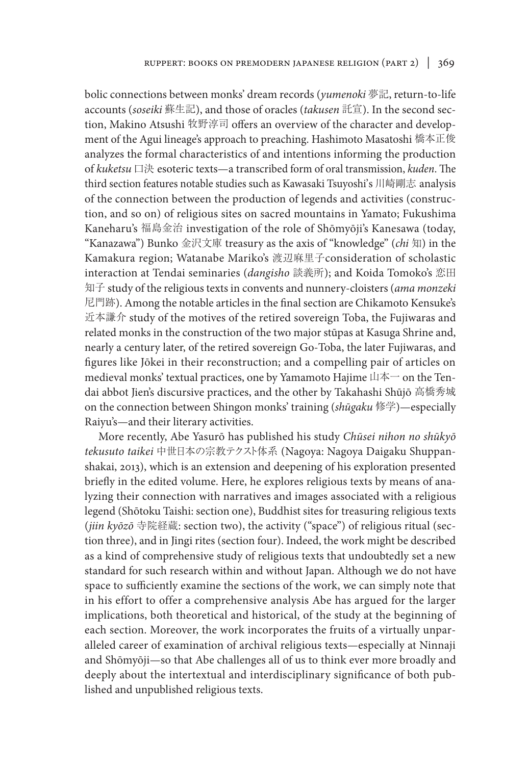bolic connections between monks' dream records (*yumenoki* 夢記, return-to-life accounts (*soseiki* 蘇生記), and those of oracles (*takusen* 託宣). In the second section, Makino Atsushi 牧野淳司 offers an overview of the character and development of the Agui lineage's approach to preaching. Hashimoto Masatoshi 橋本正俊 analyzes the formal characteristics of and intentions informing the production of *kuketsu* 口決 esoteric texts—a transcribed form of oral transmission, *kuden*. The third section features notable studies such as Kawasaki Tsuyoshi's 川崎剛志 analysis of the connection between the production of legends and activities (construction, and so on) of religious sites on sacred mountains in Yamato; Fukushima Kaneharu's 福島金治 investigation of the role of Shōmyōji's Kanesawa (today, "Kanazawa") Bunko 金沢文庫 treasury as the axis of "knowledge" (*chi* 知) in the Kamakura region; Watanabe Mariko's 渡辺麻里子consideration of scholastic interaction at Tendai seminaries (*dangisho* 談義所); and Koida Tomoko's 恋田 知子 study of the religious texts in convents and nunnery-cloisters (*ama monzeki*  尼門跡). Among the notable articles in the final section are Chikamoto Kensuke's 近本謙介 study of the motives of the retired sovereign Toba, the Fujiwaras and related monks in the construction of the two major stūpas at Kasuga Shrine and, nearly a century later, of the retired sovereign Go-Toba, the later Fujiwaras, and figures like Jōkei in their reconstruction; and a compelling pair of articles on medieval monks' textual practices, one by Yamamoto Hajime 山本一 on the Tendai abbot Jien's discursive practices, and the other by Takahashi Shūjō 高橋秀城 on the connection between Shingon monks' training (*shūgaku* 修学)—especially Raiyu's—and their literary activities.

More recently, Abe Yasurō has published his study *Chūsei nihon no shūkyō tekusuto taikei* 中世日本の宗教テクスト体系 (Nagoya: Nagoya Daigaku Shuppanshakai, 2013), which is an extension and deepening of his exploration presented briefly in the edited volume. Here, he explores religious texts by means of analyzing their connection with narratives and images associated with a religious legend (Shōtoku Taishi: section one), Buddhist sites for treasuring religious texts (*jiin kyōzō* 寺院経蔵: section two), the activity ("space") of religious ritual (section three), and in Jingi rites (section four). Indeed, the work might be described as a kind of comprehensive study of religious texts that undoubtedly set a new standard for such research within and without Japan. Although we do not have space to sufficiently examine the sections of the work, we can simply note that in his effort to offer a comprehensive analysis Abe has argued for the larger implications, both theoretical and historical, of the study at the beginning of each section. Moreover, the work incorporates the fruits of a virtually unparalleled career of examination of archival religious texts—especially at Ninnaji and Shōmyōji—so that Abe challenges all of us to think ever more broadly and deeply about the intertextual and interdisciplinary significance of both published and unpublished religious texts.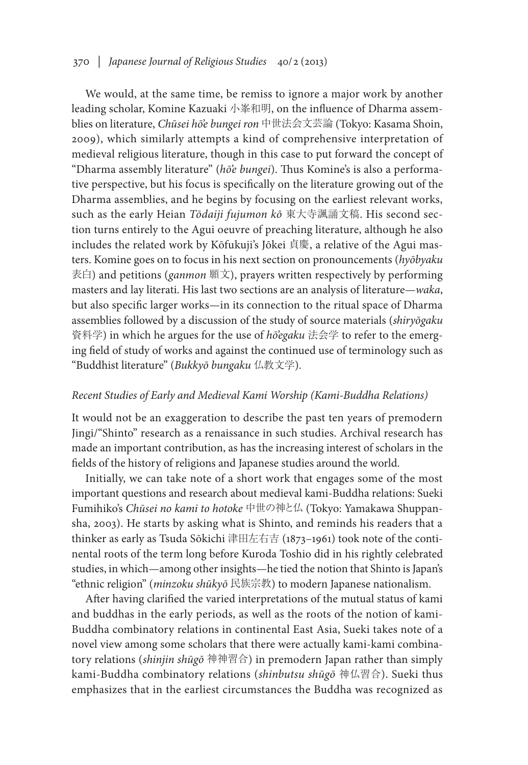## 370 *| Japanese Journal of Religious Studies* 40/2 (2013)

We would, at the same time, be remiss to ignore a major work by another leading scholar, Komine Kazuaki 小峯和明, on the influence of Dharma assemblies on literature, *Chūsei hō'e bungei ron* 中世法会文芸論 (Tokyo: Kasama Shoin, 2009), which similarly attempts a kind of comprehensive interpretation of medieval religious literature, though in this case to put forward the concept of "Dharma assembly literature" (*hō'e bungei*). Thus Komine's is also a performative perspective, but his focus is specifically on the literature growing out of the Dharma assemblies, and he begins by focusing on the earliest relevant works, such as the early Heian *Tōdaiji fujumon kō* 東大寺諷誦文稿. His second section turns entirely to the Agui oeuvre of preaching literature, although he also includes the related work by Kōfukuji's Jōkei 貞慶, a relative of the Agui masters. Komine goes on to focus in his next section on pronouncements (*hyōbyaku* 表白) and petitions (*ganmon* 願文), prayers written respectively by performing masters and lay literati. His last two sections are an analysis of literature—*waka*, but also specific larger works—in its connection to the ritual space of Dharma assemblies followed by a discussion of the study of source materials (*shiryōgaku*  資料学) in which he argues for the use of *hō'egaku* 法会学 to refer to the emerging field of study of works and against the continued use of terminology such as "Buddhist literature" (*Bukkyō bungaku* 仏教文学).

### *Recent Studies of Early and Medieval Kami Worship (Kami-Buddha Relations)*

It would not be an exaggeration to describe the past ten years of premodern Jingi/"Shinto" research as a renaissance in such studies. Archival research has made an important contribution, as has the increasing interest of scholars in the fields of the history of religions and Japanese studies around the world.

Initially, we can take note of a short work that engages some of the most important questions and research about medieval kami-Buddha relations: Sueki Fumihiko's *Chūsei no kami to hotoke* 中世の神と仏 (Tokyo: Yamakawa Shuppansha, 2003). He starts by asking what is Shinto, and reminds his readers that a thinker as early as Tsuda Sōkichi 津田左右吉 (1873–1961) took note of the continental roots of the term long before Kuroda Toshio did in his rightly celebrated studies, in which—among other insights—he tied the notion that Shinto is Japan's "ethnic religion" (*minzoku shūkyō* 民族宗教) to modern Japanese nationalism.

After having clarified the varied interpretations of the mutual status of kami and buddhas in the early periods, as well as the roots of the notion of kami-Buddha combinatory relations in continental East Asia, Sueki takes note of a novel view among some scholars that there were actually kami-kami combinatory relations (*shinjin shūgō* 神神習合) in premodern Japan rather than simply kami-Buddha combinatory relations (*shinbutsu shūgō* 神仏習合). Sueki thus emphasizes that in the earliest circumstances the Buddha was recognized as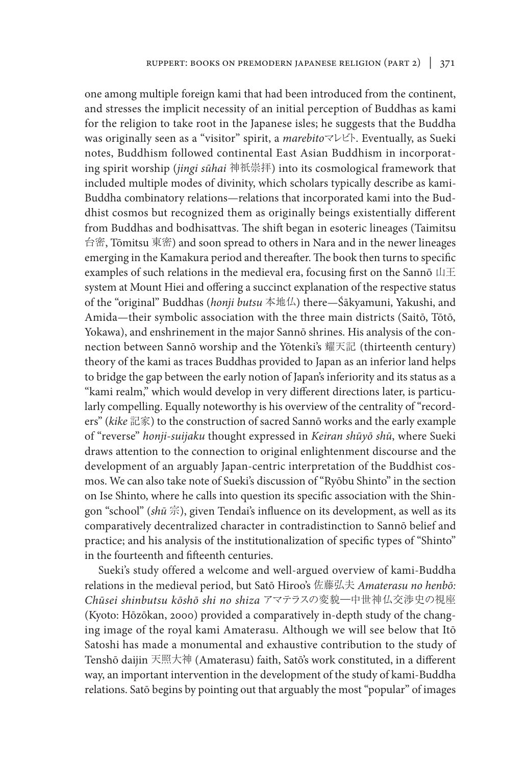one among multiple foreign kami that had been introduced from the continent, and stresses the implicit necessity of an initial perception of Buddhas as kami for the religion to take root in the Japanese isles; he suggests that the Buddha was originally seen as a "visitor" spirit, a *marebito*マレビト. Eventually, as Sueki notes, Buddhism followed continental East Asian Buddhism in incorporating spirit worship (*jingi sūhai* 神祇崇拝) into its cosmological framework that included multiple modes of divinity, which scholars typically describe as kami-Buddha combinatory relations—relations that incorporated kami into the Buddhist cosmos but recognized them as originally beings existentially different from Buddhas and bodhisattvas. The shift began in esoteric lineages (Taimitsu 台密, Tōmitsu 東密) and soon spread to others in Nara and in the newer lineages emerging in the Kamakura period and thereafter. The book then turns to specific examples of such relations in the medieval era, focusing first on the Sannō  $\Box\pm$ system at Mount Hiei and offering a succinct explanation of the respective status of the "original" Buddhas (*honji butsu* 本地仏) there—Śākyamuni, Yakushi, and Amida—their symbolic association with the three main districts (Saitō, Tōtō, Yokawa), and enshrinement in the major Sannō shrines. His analysis of the connection between Sannō worship and the Yōtenki's 耀天記 (thirteenth century) theory of the kami as traces Buddhas provided to Japan as an inferior land helps to bridge the gap between the early notion of Japan's inferiority and its status as a "kami realm," which would develop in very different directions later, is particularly compelling. Equally noteworthy is his overview of the centrality of "recorders" (*kike* 記家) to the construction of sacred Sannō works and the early example of "reverse" *honji-suijaku* thought expressed in *Keiran shūyō shū*, where Sueki draws attention to the connection to original enlightenment discourse and the development of an arguably Japan-centric interpretation of the Buddhist cosmos. We can also take note of Sueki's discussion of "Ryōbu Shinto" in the section on Ise Shinto, where he calls into question its specific association with the Shingon "school" (*shū* 宗), given Tendai's influence on its development, as well as its comparatively decentralized character in contradistinction to Sannō belief and practice; and his analysis of the institutionalization of specific types of "Shinto" in the fourteenth and fifteenth centuries.

Sueki's study offered a welcome and well-argued overview of kami-Buddha relations in the medieval period, but Satō Hiroo's 佐藤弘夫 *Amaterasu no henbō: Chūsei shinbutsu kōshō shi no shiza* アマテラスの変貌―中世神仏交渉史の視座 (Kyoto: Hōzōkan, 2000) provided a comparatively in-depth study of the changing image of the royal kami Amaterasu. Although we will see below that Itō Satoshi has made a monumental and exhaustive contribution to the study of Tenshō daijin 天照大神 (Amaterasu) faith, Satō's work constituted, in a different way, an important intervention in the development of the study of kami-Buddha relations. Satō begins by pointing out that arguably the most "popular" of images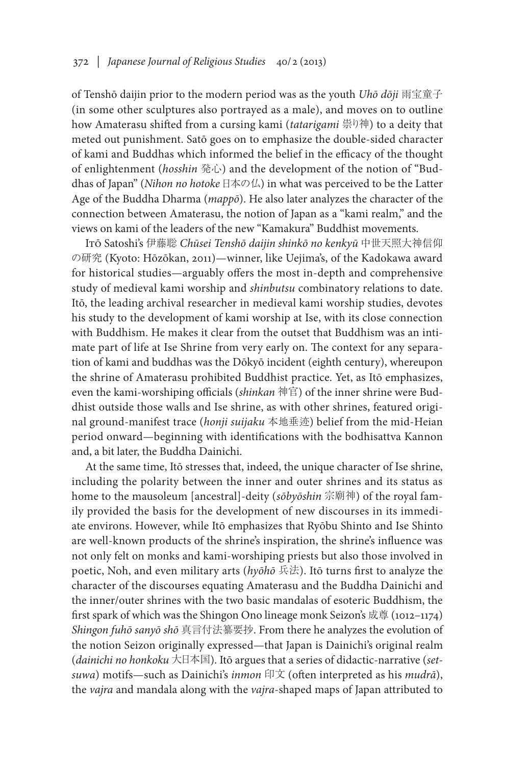of Tenshō daijin prior to the modern period was as the youth *Uhō dōji* 雨宝童子 (in some other sculptures also portrayed as a male), and moves on to outline how Amaterasu shifted from a cursing kami (*tatarigami* 祟り神) to a deity that meted out punishment. Satō goes on to emphasize the double-sided character of kami and Buddhas which informed the belief in the efficacy of the thought of enlightenment (*hosshin* 発心) and the development of the notion of "Buddhas of Japan" (*Nihon no hotoke* 日本の仏) in what was perceived to be the Latter Age of the Buddha Dharma (*mappō*). He also later analyzes the character of the connection between Amaterasu, the notion of Japan as a "kami realm," and the views on kami of the leaders of the new "Kamakura" Buddhist movements.

Itō Satoshi's 伊藤聡 *Chūsei Tenshō daijin shinkō no kenkyū* 中世天照大神信仰 の研究 (Kyoto: Hōzōkan, 2011)—winner, like Uejima's, of the Kadokawa award for historical studies—arguably offers the most in-depth and comprehensive study of medieval kami worship and *shinbutsu* combinatory relations to date. Itō, the leading archival researcher in medieval kami worship studies, devotes his study to the development of kami worship at Ise, with its close connection with Buddhism. He makes it clear from the outset that Buddhism was an intimate part of life at Ise Shrine from very early on. The context for any separation of kami and buddhas was the Dōkyō incident (eighth century), whereupon the shrine of Amaterasu prohibited Buddhist practice. Yet, as Itō emphasizes, even the kami-worshiping officials (*shinkan* 神官) of the inner shrine were Buddhist outside those walls and Ise shrine, as with other shrines, featured original ground-manifest trace (*honji suijaku* 本地垂迹) belief from the mid-Heian period onward—beginning with identifications with the bodhisattva Kannon and, a bit later, the Buddha Dainichi.

At the same time, Itō stresses that, indeed, the unique character of Ise shrine, including the polarity between the inner and outer shrines and its status as home to the mausoleum [ancestral]-deity (*sōbyōshin* 宗廟神) of the royal family provided the basis for the development of new discourses in its immediate environs. However, while Itō emphasizes that Ryōbu Shinto and Ise Shinto are well-known products of the shrine's inspiration, the shrine's influence was not only felt on monks and kami-worshiping priests but also those involved in poetic, Noh, and even military arts (*hyōhō* 兵法). Itō turns first to analyze the character of the discourses equating Amaterasu and the Buddha Dainichi and the inner/outer shrines with the two basic mandalas of esoteric Buddhism, the first spark of which was the Shingon Ono lineage monk Seizon's 成尊 (1012–1174) *Shingon fuhō sanyō shō* 真言付法纂要抄. From there he analyzes the evolution of the notion Seizon originally expressed—that Japan is Dainichi's original realm (*dainichi no honkoku* 大日本国). Itō argues that a series of didactic-narrative (*setsuwa*) motifs—such as Dainichi's *inmon* 印文 (often interpreted as his *mudrā*), the *vajra* and mandala along with the *vajra*-shaped maps of Japan attributed to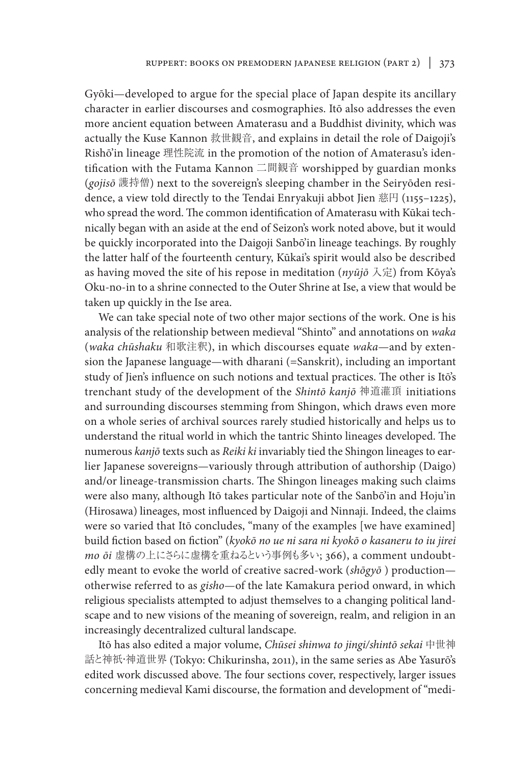Gyōki—developed to argue for the special place of Japan despite its ancillary character in earlier discourses and cosmographies. Itō also addresses the even more ancient equation between Amaterasu and a Buddhist divinity, which was actually the Kuse Kannon 救世観音, and explains in detail the role of Daigoji's Rishō'in lineage 理性院流 in the promotion of the notion of Amaterasu's identification with the Futama Kannon 二間観音 worshipped by guardian monks (*gojisō* 護持僧) next to the sovereign's sleeping chamber in the Seiryōden residence, a view told directly to the Tendai Enryakuji abbot Jien 慈円 (1155–1225), who spread the word. The common identification of Amaterasu with Kūkai technically began with an aside at the end of Seizon's work noted above, but it would be quickly incorporated into the Daigoji Sanbō'in lineage teachings. By roughly the latter half of the fourteenth century, Kūkai's spirit would also be described as having moved the site of his repose in meditation (*nyūjō* 入定) from Kōya's Oku-no-in to a shrine connected to the Outer Shrine at Ise, a view that would be taken up quickly in the Ise area.

We can take special note of two other major sections of the work. One is his analysis of the relationship between medieval "Shinto" and annotations on *waka* (*waka chūshaku* 和歌注釈), in which discourses equate *waka*—and by extension the Japanese language—with dharani (=Sanskrit), including an important study of Jien's influence on such notions and textual practices. The other is Itō's trenchant study of the development of the *Shintō kanjō* 神道灌頂 initiations and surrounding discourses stemming from Shingon, which draws even more on a whole series of archival sources rarely studied historically and helps us to understand the ritual world in which the tantric Shinto lineages developed. The numerous *kanjō* texts such as *Reiki ki* invariably tied the Shingon lineages to earlier Japanese sovereigns—variously through attribution of authorship (Daigo) and/or lineage-transmission charts. The Shingon lineages making such claims were also many, although Itō takes particular note of the Sanbō'in and Hoju'in (Hirosawa) lineages, most influenced by Daigoji and Ninnaji. Indeed, the claims were so varied that Itō concludes, "many of the examples [we have examined] build fiction based on fiction" (*kyokō no ue ni sara ni kyokō o kasaneru to iu jirei mo ōi* 虚構の上にさらに虚構を重ねるという事例も多い; 366), a comment undoubtedly meant to evoke the world of creative sacred-work (*shōgyō* ) production otherwise referred to as *gisho*—of the late Kamakura period onward, in which religious specialists attempted to adjust themselves to a changing political landscape and to new visions of the meaning of sovereign, realm, and religion in an increasingly decentralized cultural landscape.

Itō has also edited a major volume, *Chūsei shinwa to jingi/shintō sekai* 中世神 話と神祇・神道世界 (Tokyo: Chikurinsha, 2011), in the same series as Abe Yasurō's edited work discussed above. The four sections cover, respectively, larger issues concerning medieval Kami discourse, the formation and development of "medi-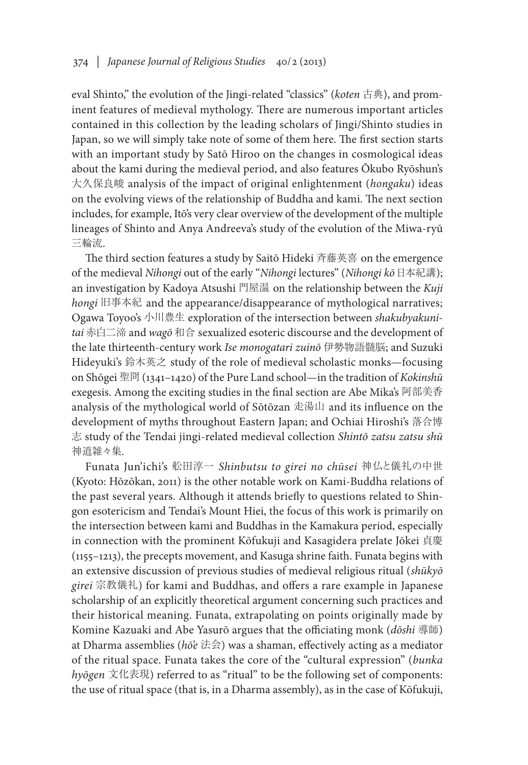eval Shinto," the evolution of the Jingi-related "classics" (*koten* 古典), and prominent features of medieval mythology. There are numerous important articles contained in this collection by the leading scholars of Jingi/Shinto studies in Japan, so we will simply take note of some of them here. The first section starts with an important study by Satō Hiroo on the changes in cosmological ideas about the kami during the medieval period, and also features Ōkubo Ryōshun's 大久保良峻 analysis of the impact of original enlightenment (*hongaku*) ideas on the evolving views of the relationship of Buddha and kami. The next section includes, for example, Itō's very clear overview of the development of the multiple lineages of Shinto and Anya Andreeva's study of the evolution of the Miwa-ryū 三輪流.

The third section features a study by Saitō Hideki 斉藤英喜 on the emergence of the medieval *Nihongi* out of the early "*Nihongi* lectures" (*Nihongi kō*日本紀講); an investigation by Kadoya Atsushi 門屋温 on the relationship between the *Kuji hongi* 旧事本紀 and the appearance/disappearance of mythological narratives; Ogawa Toyoo's 小川豊生 exploration of the intersection between *shakubyakunitai* 赤白二渧 and *wagō* 和合 sexualized esoteric discourse and the development of the late thirteenth-century work *Ise monogatari zuinō* 伊勢物語髄脳; and Suzuki Hideyuki's 鈴木英之 study of the role of medieval scholastic monks—focusing on Shōgei 聖冏 (1341–1420) of the Pure Land school—in the tradition of *Kokinshū* exegesis. Among the exciting studies in the final section are Abe Mika's 阿部美香 analysis of the mythological world of Sōtōzan 走湯山 and its influence on the development of myths throughout Eastern Japan; and Ochiai Hiroshi's 落合博 志 study of the Tendai jingi-related medieval collection *Shintō zatsu zatsu shū*  神道雑々集.

Funata Jun'ichi's 舩田淳一 *Shinbutsu to girei no chūsei* 神仏と儀礼の中世 (Kyoto: Hōzōkan, 2011) is the other notable work on Kami-Buddha relations of the past several years. Although it attends briefly to questions related to Shingon esotericism and Tendai's Mount Hiei, the focus of this work is primarily on the intersection between kami and Buddhas in the Kamakura period, especially in connection with the prominent Kōfukuji and Kasagidera prelate Jōkei 貞慶 (1155–1213), the precepts movement, and Kasuga shrine faith. Funata begins with an extensive discussion of previous studies of medieval religious ritual (*shūkyō girei* 宗教儀礼) for kami and Buddhas, and offers a rare example in Japanese scholarship of an explicitly theoretical argument concerning such practices and their historical meaning. Funata, extrapolating on points originally made by Komine Kazuaki and Abe Yasurō argues that the officiating monk (*dōshi* 導師) at Dharma assemblies (*hō'e* 法会) was a shaman, effectively acting as a mediator of the ritual space. Funata takes the core of the "cultural expression" (*bunka hyōgen* 文化表現) referred to as "ritual" to be the following set of components: the use of ritual space (that is, in a Dharma assembly), as in the case of Kōfukuji,